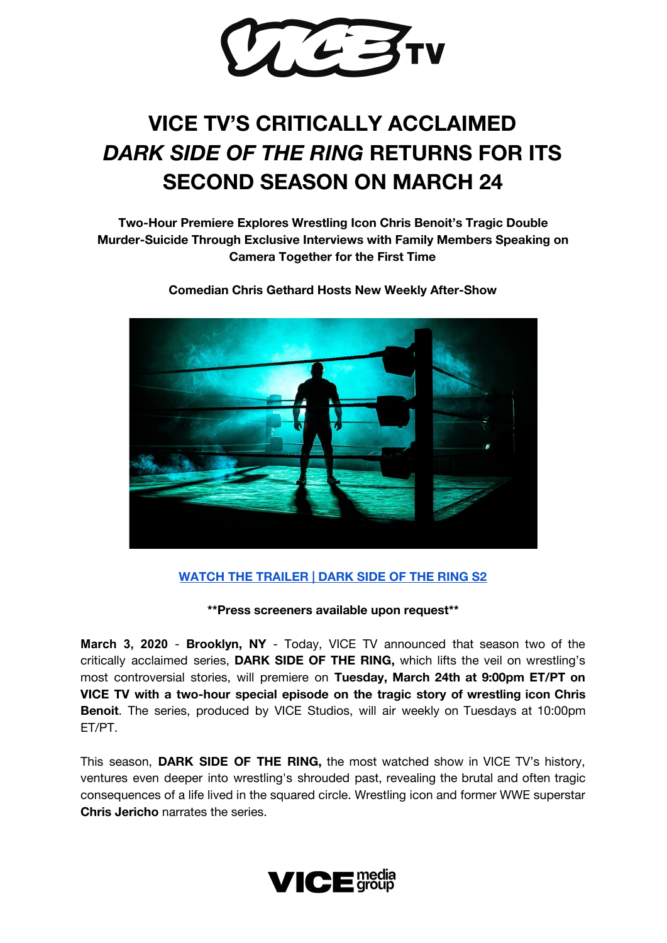

## **VICE TV'S CRITICALLY ACCLAIMED** *DARK SIDE OF THE RING* **RETURNS FOR ITS SECOND SEASON ON MARCH 24**

**Two-Hour Premiere Explores Wrestling Icon Chris Benoit's Tragic Double Murder-Suicide Through Exclusive Interviews with Family Members Speaking on Camera Together for the First Time**



**Comedian Chris Gethard Hosts New Weekly After-Show**

## **WATCH THE [TRAILER](https://www.youtube.com/watch?v=YIjXUMUhjjg&feature=youtu.be) | DARK SIDE OF THE RING S2**

**\*\*Press screeners available upon request\*\***

**March 3, 2020** - **Brooklyn, NY** - Today, VICE TV announced that season two of the critically acclaimed series, **DARK SIDE OF THE RING,** which lifts the veil on wrestling's most controversial stories, will premiere on **Tuesday, March 24th at 9:00pm ET/PT on VICE TV with a two-hour special episode on the tragic story of wrestling icon Chris Benoit**. The series, produced by VICE Studios, will air weekly on Tuesdays at 10:00pm ET/PT.

This season, **DARK SIDE OF THE RING,** the most watched show in VICE TV's history, ventures even deeper into wrestling's shrouded past, revealing the brutal and often tragic consequences of a life lived in the squared circle. Wrestling icon and former WWE superstar **Chris Jericho** narrates the series.

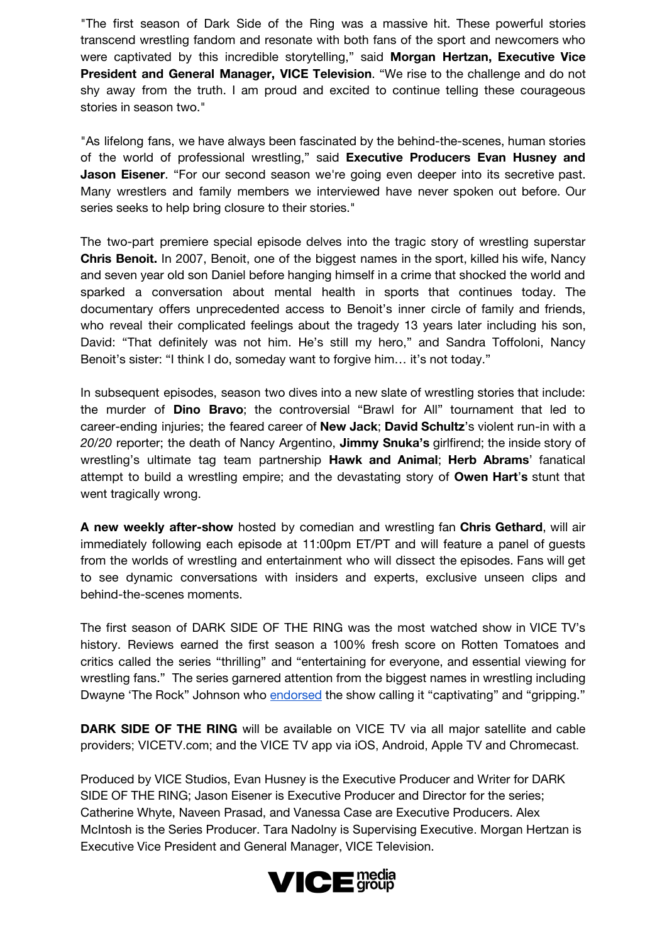"The first season of Dark Side of the Ring was a massive hit. These powerful stories transcend wrestling fandom and resonate with both fans of the sport and newcomers who were captivated by this incredible storytelling," said **Morgan Hertzan, Executive Vice President and General Manager, VICE Television**. "We rise to the challenge and do not shy away from the truth. I am proud and excited to continue telling these courageous stories in season two."

"As lifelong fans, we have always been fascinated by the behind-the-scenes, human stories of the world of professional wrestling," said **Executive Producers Evan Husney and Jason Eisener**. "For our second season we're going even deeper into its secretive past. Many wrestlers and family members we interviewed have never spoken out before. Our series seeks to help bring closure to their stories."

The two-part premiere special episode delves into the tragic story of wrestling superstar **Chris Benoit.** In 2007, Benoit, one of the biggest names in the sport, killed his wife, Nancy and seven year old son Daniel before hanging himself in a crime that shocked the world and sparked a conversation about mental health in sports that continues today. The documentary offers unprecedented access to Benoit's inner circle of family and friends, who reveal their complicated feelings about the tragedy 13 years later including his son, David: "That definitely was not him. He's still my hero," and Sandra Toffoloni, Nancy Benoit's sister: "I think I do, someday want to forgive him… it's not today."

In subsequent episodes, season two dives into a new slate of wrestling stories that include: the murder of **Dino Bravo**; the controversial "Brawl for All" tournament that led to career-ending injuries; the feared career of **New Jack**; **David Schultz**'s violent run-in with a *20/20* reporter; the death of Nancy Argentino, **Jimmy Snuka's** girlfirend; the inside story of wrestling's ultimate tag team partnership **Hawk and Animal**; **Herb Abrams**' fanatical attempt to build a wrestling empire; and the devastating story of **Owen Hart**'**s** stunt that went tragically wrong.

**A new weekly after-show** hosted by comedian and wrestling fan **Chris Gethard**, will air immediately following each episode at 11:00pm ET/PT and will feature a panel of guests from the worlds of wrestling and entertainment who will dissect the episodes. Fans will get to see dynamic conversations with insiders and experts, exclusive unseen clips and behind-the-scenes moments.

The first season of DARK SIDE OF THE RING was the most watched show in VICE TV's history. Reviews earned the first season a 100% fresh score on Rotten Tomatoes and critics called the series "thrilling" and "entertaining for everyone, and essential viewing for wrestling fans." The series garnered attention from the biggest names in wrestling including Dwayne 'The Rock" Johnson who [endorsed](https://twitter.com/TheRock/status/1117507553858965504) the show calling it "captivating" and "gripping."

**DARK SIDE OF THE RING** will be available on VICE TV via all major satellite and cable providers; VICETV.com; and the VICE TV app via iOS, Android, Apple TV and Chromecast.

Produced by VICE Studios, Evan Husney is the Executive Producer and Writer for DARK SIDE OF THE RING; Jason Eisener is Executive Producer and Director for the series; Catherine Whyte, Naveen Prasad, and Vanessa Case are Executive Producers. Alex McIntosh is the Series Producer. Tara Nadolny is Supervising Executive. Morgan Hertzan is Executive Vice President and General Manager, VICE Television.